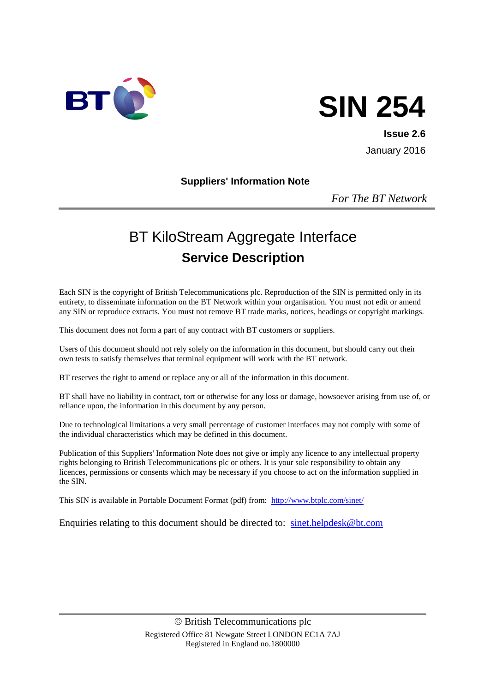

# **SIN 254**

**Issue 2.6** January 2016

#### **Suppliers' Information Note**

*For The BT Network*

# BT KiloStream Aggregate Interface **Service Description**

Each SIN is the copyright of British Telecommunications plc. Reproduction of the SIN is permitted only in its entirety, to disseminate information on the BT Network within your organisation. You must not edit or amend any SIN or reproduce extracts. You must not remove BT trade marks, notices, headings or copyright markings.

This document does not form a part of any contract with BT customers or suppliers.

Users of this document should not rely solely on the information in this document, but should carry out their own tests to satisfy themselves that terminal equipment will work with the BT network.

BT reserves the right to amend or replace any or all of the information in this document.

BT shall have no liability in contract, tort or otherwise for any loss or damage, howsoever arising from use of, or reliance upon, the information in this document by any person.

Due to technological limitations a very small percentage of customer interfaces may not comply with some of the individual characteristics which may be defined in this document.

Publication of this Suppliers' Information Note does not give or imply any licence to any intellectual property rights belonging to British Telecommunications plc or others. It is your sole responsibility to obtain any licences, permissions or consents which may be necessary if you choose to act on the information supplied in the SIN.

This SIN is available in Portable Document Format (pdf) from: <http://www.btplc.com/sinet/>

Enquiries relating to this document should be directed to: [sinet.helpdesk@bt.com](mailto:sinet.helpdesk@bt.com)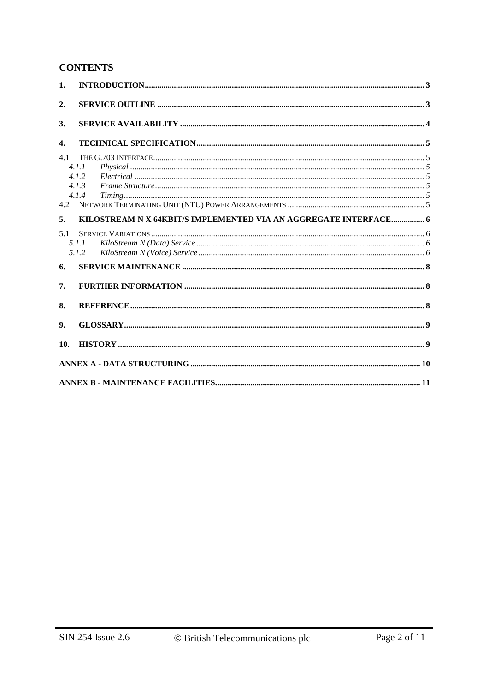# **CONTENTS**

| 1.         |                                                                                                                                                                                                                       |  |
|------------|-----------------------------------------------------------------------------------------------------------------------------------------------------------------------------------------------------------------------|--|
| 2.         |                                                                                                                                                                                                                       |  |
| 3.         |                                                                                                                                                                                                                       |  |
| 4.         |                                                                                                                                                                                                                       |  |
| 4.1<br>4.2 | 4.1.1<br>4.1.2<br>4.1.3<br>$\emph{Frame Structure} \label{q:3} \emph{Frame Structure} \normalsize \normalsize \textit{Structure} \normalsize \normalsize \textit{5}$<br>4.1.4<br>$T \text{ } m \text{ } m \text{ } s$ |  |
| 5.         | KILOSTREAM N X 64KBIT/S IMPLEMENTED VIA AN AGGREGATE INTERFACE 6                                                                                                                                                      |  |
| 5.1        | 5.1.1<br>5.1.2                                                                                                                                                                                                        |  |
| 6.         |                                                                                                                                                                                                                       |  |
| 7.         |                                                                                                                                                                                                                       |  |
| 8.         |                                                                                                                                                                                                                       |  |
| 9.         |                                                                                                                                                                                                                       |  |
| 10.        |                                                                                                                                                                                                                       |  |
|            |                                                                                                                                                                                                                       |  |
|            |                                                                                                                                                                                                                       |  |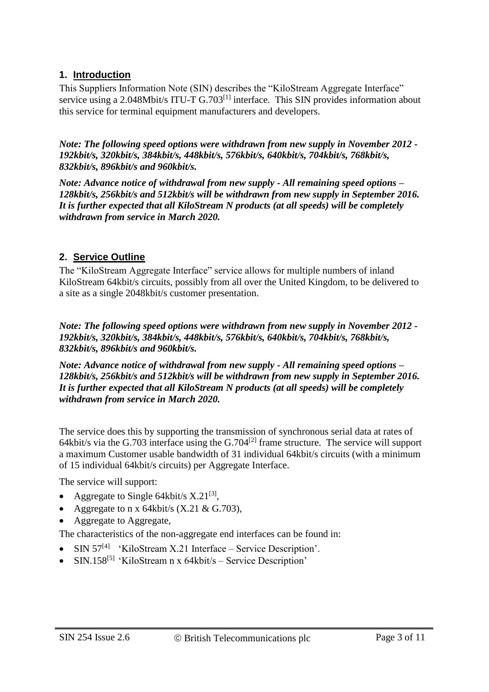#### **1. Introduction**

This Suppliers Information Note (SIN) describes the "KiloStream Aggregate Interface" service using a 2.048Mbit/s ITU-T G.703<sup>[1]</sup> interface. This SIN provides information about this service for terminal equipment manufacturers and developers.

*Note: The following speed options were withdrawn from new supply in November 2012 - 192kbit/s, 320kbit/s, 384kbit/s, 448kbit/s, 576kbit/s, 640kbit/s, 704kbit/s, 768kbit/s, 832kbit/s, 896kbit/s and 960kbit/s.*

*Note: Advance notice of withdrawal from new supply - All remaining speed options – 128kbit/s, 256kbit/s and 512kbit/s will be withdrawn from new supply in September 2016. It is further expected that all KiloStream N products (at all speeds) will be completely withdrawn from service in March 2020.*

#### **2. Service Outline**

The "KiloStream Aggregate Interface" service allows for multiple numbers of inland KiloStream 64kbit/s circuits, possibly from all over the United Kingdom, to be delivered to a site as a single 2048kbit/s customer presentation.

*Note: The following speed options were withdrawn from new supply in November 2012 - 192kbit/s, 320kbit/s, 384kbit/s, 448kbit/s, 576kbit/s, 640kbit/s, 704kbit/s, 768kbit/s, 832kbit/s, 896kbit/s and 960kbit/s.*

*Note: Advance notice of withdrawal from new supply - All remaining speed options – 128kbit/s, 256kbit/s and 512kbit/s will be withdrawn from new supply in September 2016. It is further expected that all KiloStream N products (at all speeds) will be completely withdrawn from service in March 2020.*

The service does this by supporting the transmission of synchronous serial data at rates of 64kbit/s via the G.703 interface using the G.704[2] frame structure. The service will support a maximum Customer usable bandwidth of 31 individual 64kbit/s circuits (with a minimum of 15 individual 64kbit/s circuits) per Aggregate Interface.

The service will support:

- Aggregate to Single 64kbit/s  $X.21^{[3]}$ ,
- Aggregate to n x 64kbit/s  $(X.21 \& G.703)$ ,
- Aggregate to Aggregate,

The characteristics of the non-aggregate end interfaces can be found in:

- $\bullet$  SIN 57<sup>[4]</sup> 'KiloStream X.21 Interface Service Description'.
- SIN.158<sup>[5]</sup> 'KiloStream n x 64kbit/s Service Description'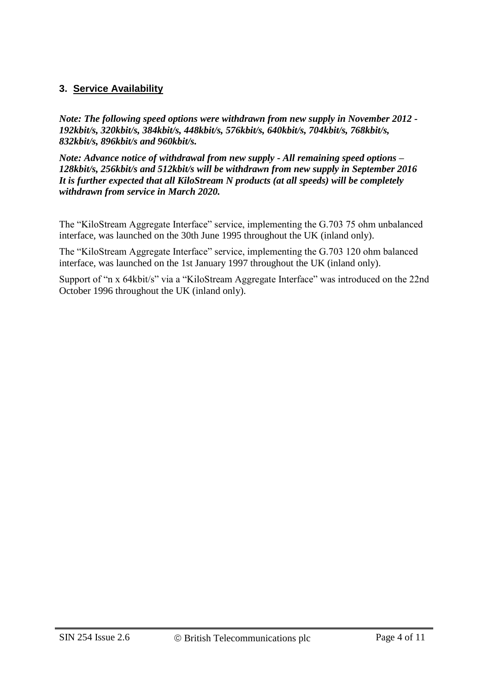#### **3. Service Availability**

*Note: The following speed options were withdrawn from new supply in November 2012 - 192kbit/s, 320kbit/s, 384kbit/s, 448kbit/s, 576kbit/s, 640kbit/s, 704kbit/s, 768kbit/s, 832kbit/s, 896kbit/s and 960kbit/s.*

*Note: Advance notice of withdrawal from new supply - All remaining speed options – 128kbit/s, 256kbit/s and 512kbit/s will be withdrawn from new supply in September 2016 It is further expected that all KiloStream N products (at all speeds) will be completely withdrawn from service in March 2020.*

The "KiloStream Aggregate Interface" service, implementing the G.703 75 ohm unbalanced interface, was launched on the 30th June 1995 throughout the UK (inland only).

The "KiloStream Aggregate Interface" service, implementing the G.703 120 ohm balanced interface, was launched on the 1st January 1997 throughout the UK (inland only).

Support of "n x 64kbit/s" via a "KiloStream Aggregate Interface" was introduced on the 22nd October 1996 throughout the UK (inland only).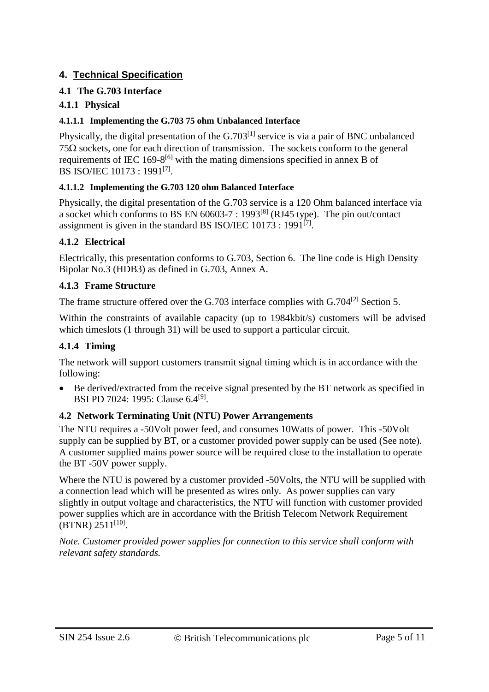#### **4. Technical Specification**

#### **4.1 The G.703 Interface**

#### **4.1.1 Physical**

#### **4.1.1.1 Implementing the G.703 75 ohm Unbalanced Interface**

Physically, the digital presentation of the  $G.703<sup>[1]</sup>$  service is via a pair of BNC unbalanced  $75\Omega$  sockets, one for each direction of transmission. The sockets conform to the general requirements of IEC 169-8 $^{[6]}$  with the mating dimensions specified in annex B of BS ISO/IEC 10173 : 1991<sup>[7]</sup>.

#### **4.1.1.2 Implementing the G.703 120 ohm Balanced Interface**

Physically, the digital presentation of the G.703 service is a 120 Ohm balanced interface via a socket which conforms to BS EN  $60603-7$ : 1993<sup>[8]</sup> (RJ45 type). The pin out/contact assignment is given in the standard BS ISO/IEC 10173 : 1991<sup>[7]</sup>.

#### **4.1.2 Electrical**

Electrically, this presentation conforms to G.703, Section 6. The line code is High Density Bipolar No.3 (HDB3) as defined in G.703, Annex A.

#### **4.1.3 Frame Structure**

The frame structure offered over the G.703 interface complies with G.704[2] Section 5.

Within the constraints of available capacity (up to 1984kbit/s) customers will be advised which timeslots (1 through 31) will be used to support a particular circuit.

#### **4.1.4 Timing**

The network will support customers transmit signal timing which is in accordance with the following:

 Be derived/extracted from the receive signal presented by the BT network as specified in BSI PD 7024: 1995: Clause 6.4<sup>[9]</sup>.

#### **4.2 Network Terminating Unit (NTU) Power Arrangements**

The NTU requires a -50Volt power feed, and consumes 10Watts of power. This -50Volt supply can be supplied by BT, or a customer provided power supply can be used (See note). A customer supplied mains power source will be required close to the installation to operate the BT -50V power supply.

Where the NTU is powered by a customer provided -50Volts, the NTU will be supplied with a connection lead which will be presented as wires only. As power supplies can vary slightly in output voltage and characteristics, the NTU will function with customer provided power supplies which are in accordance with the British Telecom Network Requirement  $(BTNR)$  2511<sup>[10]</sup>.

*Note. Customer provided power supplies for connection to this service shall conform with relevant safety standards.*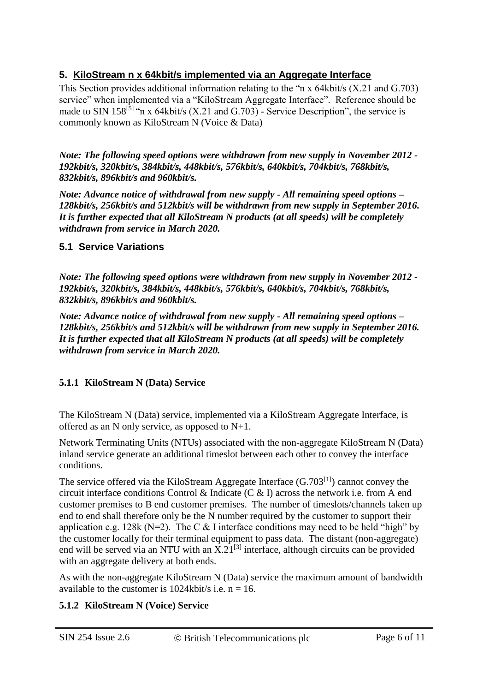#### **5. KiloStream n x 64kbit/s implemented via an Aggregate Interface**

This Section provides additional information relating to the "n x 64kbit/s (X.21 and G.703) service" when implemented via a "KiloStream Aggregate Interface". Reference should be made to SIN 158<sup>[5]</sup> "n x 64kbit/s (X.21 and G.703) - Service Description", the service is commonly known as KiloStream N (Voice & Data)

*Note: The following speed options were withdrawn from new supply in November 2012 - 192kbit/s, 320kbit/s, 384kbit/s, 448kbit/s, 576kbit/s, 640kbit/s, 704kbit/s, 768kbit/s, 832kbit/s, 896kbit/s and 960kbit/s.*

*Note: Advance notice of withdrawal from new supply - All remaining speed options – 128kbit/s, 256kbit/s and 512kbit/s will be withdrawn from new supply in September 2016. It is further expected that all KiloStream N products (at all speeds) will be completely withdrawn from service in March 2020.*

#### **5.1 Service Variations**

*Note: The following speed options were withdrawn from new supply in November 2012 - 192kbit/s, 320kbit/s, 384kbit/s, 448kbit/s, 576kbit/s, 640kbit/s, 704kbit/s, 768kbit/s, 832kbit/s, 896kbit/s and 960kbit/s.*

*Note: Advance notice of withdrawal from new supply - All remaining speed options – 128kbit/s, 256kbit/s and 512kbit/s will be withdrawn from new supply in September 2016. It is further expected that all KiloStream N products (at all speeds) will be completely withdrawn from service in March 2020.*

#### **5.1.1 KiloStream N (Data) Service**

The KiloStream N (Data) service, implemented via a KiloStream Aggregate Interface, is offered as an N only service, as opposed to N+1.

Network Terminating Units (NTUs) associated with the non-aggregate KiloStream N (Data) inland service generate an additional timeslot between each other to convey the interface conditions.

The service offered via the KiloStream Aggregate Interface  $(G.703^{[1]})$  cannot convey the circuit interface conditions Control & Indicate (C & I) across the network i.e. from A end customer premises to B end customer premises. The number of timeslots/channels taken up end to end shall therefore only be the N number required by the customer to support their application e.g. 128k ( $N=2$ ). The C & I interface conditions may need to be held "high" by the customer locally for their terminal equipment to pass data. The distant (non-aggregate) end will be served via an NTU with an  $X.21^{[3]}$  interface, although circuits can be provided with an aggregate delivery at both ends.

As with the non-aggregate KiloStream N (Data) service the maximum amount of bandwidth available to the customer is  $1024kbit/s$  i.e.  $n = 16$ .

#### **5.1.2 KiloStream N (Voice) Service**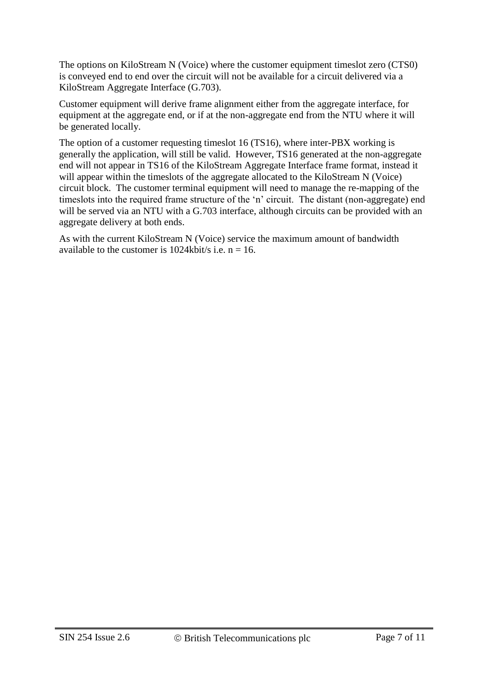The options on KiloStream N (Voice) where the customer equipment timeslot zero (CTS0) is conveyed end to end over the circuit will not be available for a circuit delivered via a KiloStream Aggregate Interface (G.703).

Customer equipment will derive frame alignment either from the aggregate interface, for equipment at the aggregate end, or if at the non-aggregate end from the NTU where it will be generated locally.

The option of a customer requesting timeslot 16 (TS16), where inter-PBX working is generally the application, will still be valid. However, TS16 generated at the non-aggregate end will not appear in TS16 of the KiloStream Aggregate Interface frame format, instead it will appear within the timeslots of the aggregate allocated to the KiloStream N (Voice) circuit block. The customer terminal equipment will need to manage the re-mapping of the timeslots into the required frame structure of the 'n' circuit. The distant (non-aggregate) end will be served via an NTU with a G.703 interface, although circuits can be provided with an aggregate delivery at both ends.

As with the current KiloStream N (Voice) service the maximum amount of bandwidth available to the customer is  $1024kbit/s$  i.e.  $n = 16$ .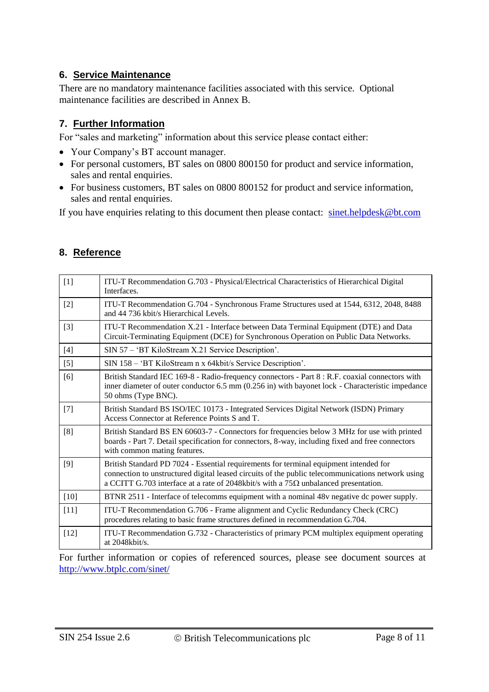#### **6. Service Maintenance**

There are no mandatory maintenance facilities associated with this service. Optional maintenance facilities are described in Annex B.

#### **7. Further Information**

For "sales and marketing" information about this service please contact either:

- Your Company's BT account manager.
- For personal customers, BT sales on 0800 800150 for product and service information, sales and rental enquiries.
- For business customers, BT sales on 0800 800152 for product and service information, sales and rental enquiries.

If you have enquiries relating to this document then please contact: [sinet.helpdesk@bt.com](mailto:sinet.helpdesk@bt.com)

| $[1]$             | ITU-T Recommendation G.703 - Physical/Electrical Characteristics of Hierarchical Digital<br>Interfaces.                                                                                                                    |  |  |  |
|-------------------|----------------------------------------------------------------------------------------------------------------------------------------------------------------------------------------------------------------------------|--|--|--|
| $[2]$             | ITU-T Recommendation G.704 - Synchronous Frame Structures used at 1544, 6312, 2048, 8488<br>and 44 736 kbit/s Hierarchical Levels.                                                                                         |  |  |  |
| $\lceil 3 \rceil$ | ITU-T Recommendation X.21 - Interface between Data Terminal Equipment (DTE) and Data<br>Circuit-Terminating Equipment (DCE) for Synchronous Operation on Public Data Networks.                                             |  |  |  |
| $[4]$             | SIN 57 – 'BT KiloStream X.21 Service Description'.                                                                                                                                                                         |  |  |  |
| $[5]$             | SIN 158 - 'BT KiloStream n x 64kbit/s Service Description'.                                                                                                                                                                |  |  |  |
| [6]               | British Standard IEC 169-8 - Radio-frequency connectors - Part 8 : R.F. coaxial connectors with<br>inner diameter of outer conductor 6.5 mm (0.256 in) with bayonet lock - Characteristic impedance<br>50 ohms (Type BNC). |  |  |  |
|                   |                                                                                                                                                                                                                            |  |  |  |

#### **8. Reference**

| L≝J    | The True commentation $Q(t)$ by them one as frame but actures ased at 19 Fig. 0912, 2010, 0100<br>and 44 736 kbit/s Hierarchical Levels.                                                                                                                                                  |  |  |  |
|--------|-------------------------------------------------------------------------------------------------------------------------------------------------------------------------------------------------------------------------------------------------------------------------------------------|--|--|--|
| $[3]$  | ITU-T Recommendation X.21 - Interface between Data Terminal Equipment (DTE) and Data<br>Circuit-Terminating Equipment (DCE) for Synchronous Operation on Public Data Networks.                                                                                                            |  |  |  |
| $[4]$  | SIN 57 - 'BT KiloStream X.21 Service Description'.                                                                                                                                                                                                                                        |  |  |  |
| $[5]$  | SIN 158 - 'BT KiloStream n x 64kbit/s Service Description'.                                                                                                                                                                                                                               |  |  |  |
| [6]    | British Standard IEC 169-8 - Radio-frequency connectors - Part 8 : R.F. coaxial connectors with<br>inner diameter of outer conductor 6.5 mm (0.256 in) with bayonet lock - Characteristic impedance<br>50 ohms (Type BNC).                                                                |  |  |  |
| $[7]$  | British Standard BS ISO/IEC 10173 - Integrated Services Digital Network (ISDN) Primary<br>Access Connector at Reference Points S and T.                                                                                                                                                   |  |  |  |
| [8]    | British Standard BS EN 60603-7 - Connectors for frequencies below 3 MHz for use with printed<br>boards - Part 7. Detail specification for connectors, 8-way, including fixed and free connectors<br>with common mating features.                                                          |  |  |  |
| [9]    | British Standard PD 7024 - Essential requirements for terminal equipment intended for<br>connection to unstructured digital leased circuits of the public telecommunications network using<br>a CCITT G.703 interface at a rate of 2048kbit/s with a 75 $\Omega$ unbalanced presentation. |  |  |  |
| $[10]$ | BTNR 2511 - Interface of telecomms equipment with a nominal 48v negative dc power supply.                                                                                                                                                                                                 |  |  |  |
| $[11]$ | ITU-T Recommendation G.706 - Frame alignment and Cyclic Redundancy Check (CRC)<br>procedures relating to basic frame structures defined in recommendation G.704.                                                                                                                          |  |  |  |
| $[12]$ | ITU-T Recommendation G.732 - Characteristics of primary PCM multiplex equipment operating<br>at $2048$ kbit/s.                                                                                                                                                                            |  |  |  |
|        |                                                                                                                                                                                                                                                                                           |  |  |  |

For further information or copies of referenced sources, please see document sources at <http://www.btplc.com/sinet/>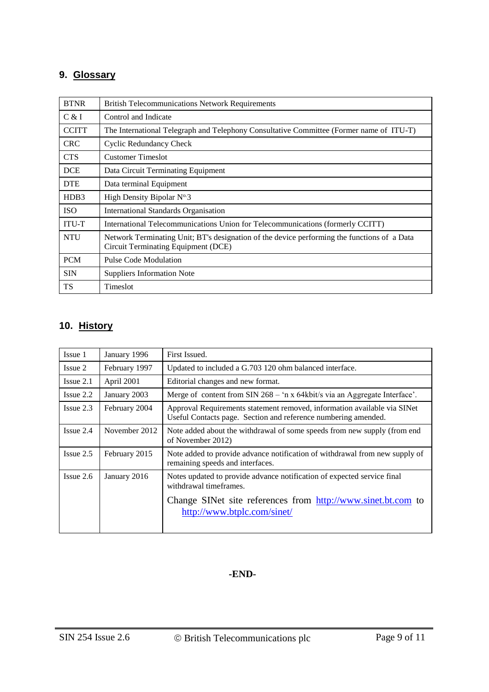# **9. Glossary**

| <b>BTNR</b>                   | <b>British Telecommunications Network Requirements</b>                                                                                    |  |  |
|-------------------------------|-------------------------------------------------------------------------------------------------------------------------------------------|--|--|
| C & I                         | Control and Indicate                                                                                                                      |  |  |
| <b>CCITT</b>                  | The International Telegraph and Telephony Consultative Committee (Former name of ITU-T)                                                   |  |  |
| <b>CRC</b>                    | <b>Cyclic Redundancy Check</b>                                                                                                            |  |  |
| <b>CTS</b>                    | <b>Customer Timeslot</b>                                                                                                                  |  |  |
| <b>DCE</b>                    | Data Circuit Terminating Equipment                                                                                                        |  |  |
| <b>DTE</b>                    | Data terminal Equipment                                                                                                                   |  |  |
| H <sub>D</sub> B <sub>3</sub> | High Density Bipolar $N^{\circ}3$                                                                                                         |  |  |
| <b>ISO</b>                    | <b>International Standards Organisation</b>                                                                                               |  |  |
| <b>ITU-T</b>                  | International Telecommunications Union for Telecommunications (formerly CCITT)                                                            |  |  |
| <b>NTU</b>                    | Network Terminating Unit; BT's designation of the device performing the functions of a Data<br><b>Circuit Terminating Equipment (DCE)</b> |  |  |
| <b>PCM</b>                    | <b>Pulse Code Modulation</b>                                                                                                              |  |  |
| <b>SIN</b>                    | <b>Suppliers Information Note</b>                                                                                                         |  |  |
| <b>TS</b>                     | Timeslot                                                                                                                                  |  |  |

# **10. History**

| Issue 1        | January 1996  | First Issued.                                                                                                                              |
|----------------|---------------|--------------------------------------------------------------------------------------------------------------------------------------------|
| Issue 2        | February 1997 | Updated to included a G.703 120 ohm balanced interface.                                                                                    |
| $I$ ssue $2.1$ | April 2001    | Editorial changes and new format.                                                                                                          |
| $I$ ssue $2.2$ | January 2003  | Merge of content from SIN 268 – 'n x 64kbit/s via an Aggregate Interface'.                                                                 |
| $I$ ssue 2.3   | February 2004 | Approval Requirements statement removed, information available via SINet<br>Useful Contacts page. Section and reference numbering amended. |
| $I$ ssue $2.4$ | November 2012 | Note added about the withdrawal of some speeds from new supply (from end<br>of November 2012)                                              |
| $I$ ssue 2.5   | February 2015 | Note added to provide advance notification of withdrawal from new supply of<br>remaining speeds and interfaces.                            |
| $I$ ssue 2.6   | January 2016  | Notes updated to provide advance notification of expected service final<br>withdrawal timeframes.                                          |
|                |               | Change SINet site references from http://www.sinet.bt.com to<br>http://www.btplc.com/sinet/                                                |

#### **-END-**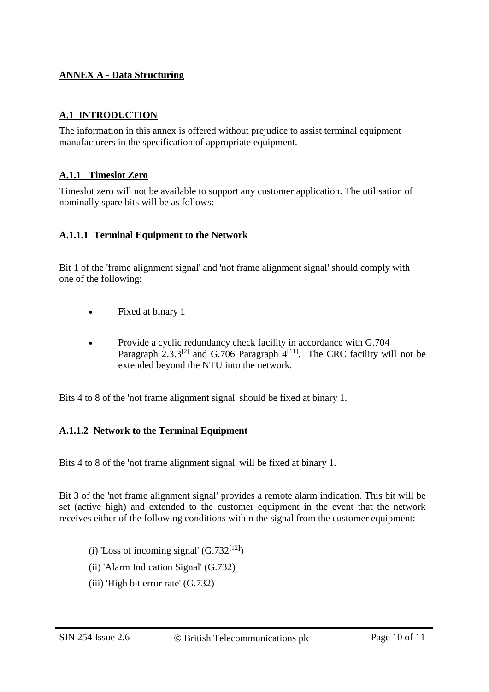#### **ANNEX A - Data Structuring**

#### **A.1 INTRODUCTION**

The information in this annex is offered without prejudice to assist terminal equipment manufacturers in the specification of appropriate equipment.

#### **A.1.1 Timeslot Zero**

Timeslot zero will not be available to support any customer application. The utilisation of nominally spare bits will be as follows:

#### **A.1.1.1 Terminal Equipment to the Network**

Bit 1 of the 'frame alignment signal' and 'not frame alignment signal' should comply with one of the following:

- Fixed at binary 1
- Provide a cyclic redundancy check facility in accordance with G.704 Paragraph  $2.3.3^{[2]}$  and G.706 Paragraph  $4^{[11]}$ . The CRC facility will not be extended beyond the NTU into the network.

Bits 4 to 8 of the 'not frame alignment signal' should be fixed at binary 1.

#### **A.1.1.2 Network to the Terminal Equipment**

Bits 4 to 8 of the 'not frame alignment signal' will be fixed at binary 1.

Bit 3 of the 'not frame alignment signal' provides a remote alarm indication. This bit will be set (active high) and extended to the customer equipment in the event that the network receives either of the following conditions within the signal from the customer equipment:

- (i) 'Loss of incoming signal'  $(G.732^{[12]})$
- (ii) 'Alarm Indication Signal' (G.732)
- (iii) 'High bit error rate' (G.732)